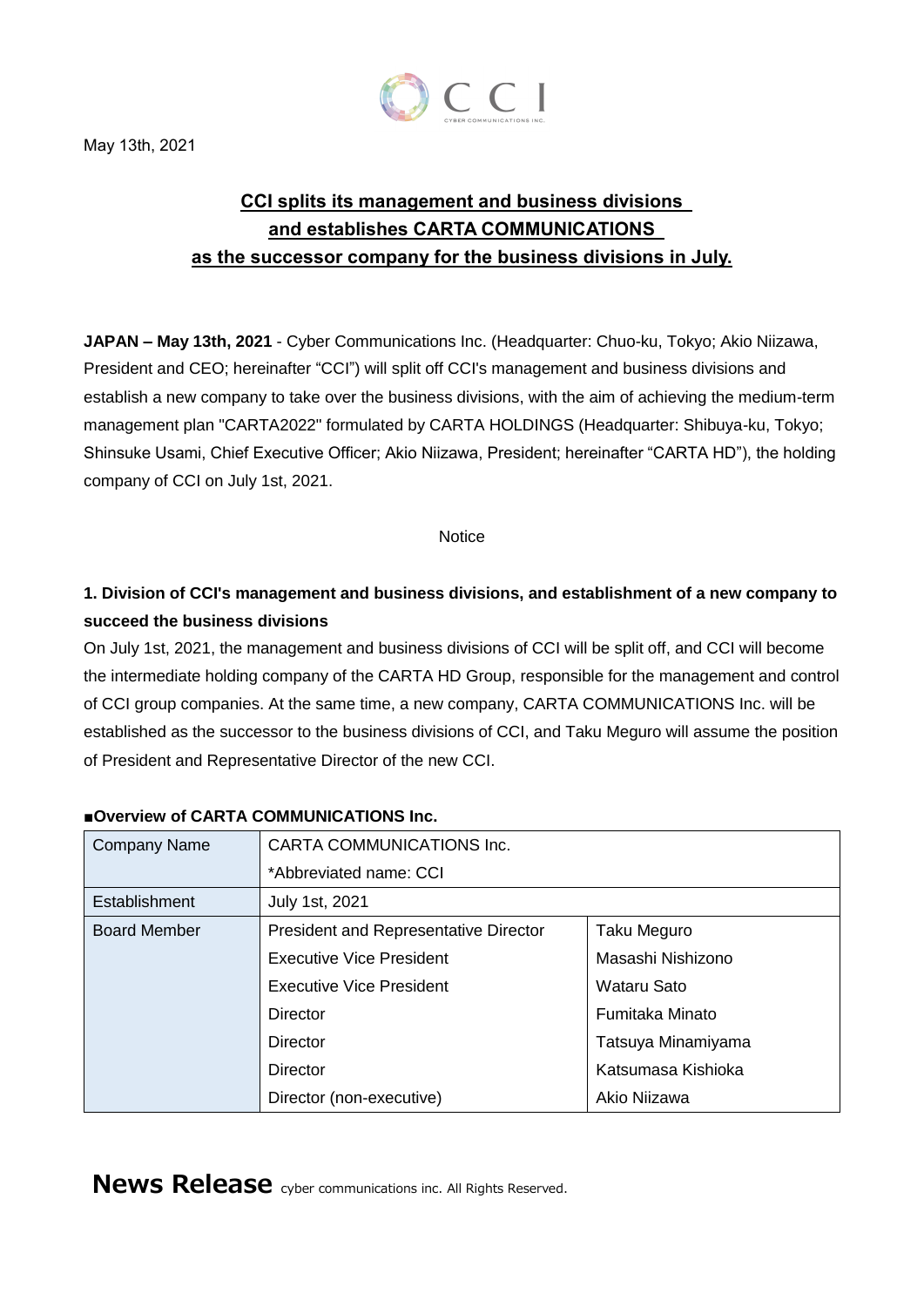

# **CCI splits its management and business divisions and establishes CARTA COMMUNICATIONS as the successor company for the business divisions in July.**

**JAPAN – May 13th, 2021** - Cyber Communications Inc. (Headquarter: Chuo-ku, Tokyo; Akio Niizawa, President and CEO; hereinafter "CCI") will split off CCI's management and business divisions and establish a new company to take over the business divisions, with the aim of achieving the medium-term management plan "CARTA2022" formulated by CARTA HOLDINGS (Headquarter: Shibuya-ku, Tokyo; Shinsuke Usami, Chief Executive Officer; Akio Niizawa, President; hereinafter "CARTA HD"), the holding company of CCI on July 1st, 2021.

#### **Notice**

## **1. Division of CCI's management and business divisions, and establishment of a new company to succeed the business divisions**

On July 1st, 2021, the management and business divisions of CCI will be split off, and CCI will become the intermediate holding company of the CARTA HD Group, responsible for the management and control of CCI group companies. At the same time, a new company, CARTA COMMUNICATIONS Inc. will be established as the successor to the business divisions of CCI, and Taku Meguro will assume the position of President and Representative Director of the new CCI.

| <b>Company Name</b> | CARTA COMMUNICATIONS Inc.                    |                    |
|---------------------|----------------------------------------------|--------------------|
|                     | *Abbreviated name: CCI                       |                    |
| Establishment       | <b>July 1st, 2021</b>                        |                    |
| <b>Board Member</b> | <b>President and Representative Director</b> | Taku Meguro        |
|                     | Executive Vice President                     | Masashi Nishizono  |
|                     | Executive Vice President                     | Wataru Sato        |
|                     | Director                                     | Fumitaka Minato    |
|                     | Director                                     | Tatsuya Minamiyama |
|                     | Director                                     | Katsumasa Kishioka |
|                     | Director (non-executive)                     | Akio Niizawa       |

#### **■Overview of CARTA COMMUNICATIONS Inc.**

**News Release** cyber communications inc. All Rights Reserved.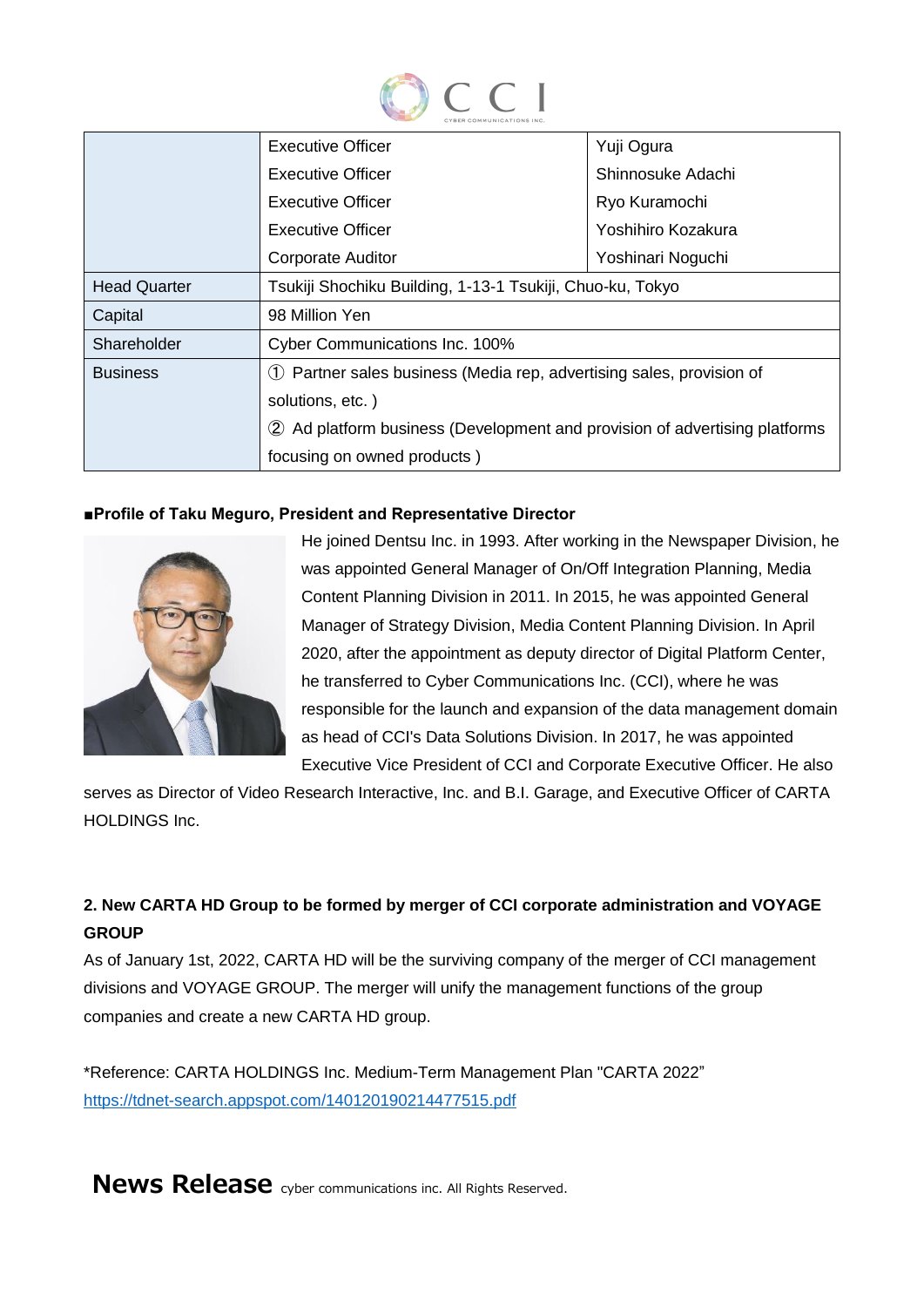

|                     | Executive Officer                                                          | Yuji Ogura         |  |
|---------------------|----------------------------------------------------------------------------|--------------------|--|
|                     | Executive Officer                                                          | Shinnosuke Adachi  |  |
|                     | Executive Officer                                                          | Ryo Kuramochi      |  |
|                     | Executive Officer                                                          | Yoshihiro Kozakura |  |
|                     | <b>Corporate Auditor</b>                                                   | Yoshinari Noguchi  |  |
| <b>Head Quarter</b> | Tsukiji Shochiku Building, 1-13-1 Tsukiji, Chuo-ku, Tokyo                  |                    |  |
| Capital             | 98 Million Yen                                                             |                    |  |
| Shareholder         | Cyber Communications Inc. 100%                                             |                    |  |
| <b>Business</b>     | 1) Partner sales business (Media rep, advertising sales, provision of      |                    |  |
|                     | solutions, etc.)                                                           |                    |  |
|                     | 2 Ad platform business (Development and provision of advertising platforms |                    |  |
|                     | focusing on owned products)                                                |                    |  |

#### **■Profile of Taku Meguro, President and Representative Director**



He joined Dentsu Inc. in 1993. After working in the Newspaper Division, he was appointed General Manager of On/Off Integration Planning, Media Content Planning Division in 2011. In 2015, he was appointed General Manager of Strategy Division, Media Content Planning Division. In April 2020, after the appointment as deputy director of Digital Platform Center, he transferred to Cyber Communications Inc. (CCI), where he was responsible for the launch and expansion of the data management domain as head of CCI's Data Solutions Division. In 2017, he was appointed Executive Vice President of CCI and Corporate Executive Officer. He also

serves as Director of Video Research Interactive, Inc. and B.I. Garage, and Executive Officer of CARTA HOLDINGS Inc.

### **2. New CARTA HD Group to be formed by merger of CCI corporate administration and VOYAGE GROUP**

As of January 1st, 2022, CARTA HD will be the surviving company of the merger of CCI management divisions and VOYAGE GROUP. The merger will unify the management functions of the group companies and create a new CARTA HD group.

\*Reference: CARTA HOLDINGS Inc. Medium-Term Management Plan "CARTA 2022" <https://tdnet-search.appspot.com/140120190214477515.pdf>

**News Release** cyber communications inc. All Rights Reserved.